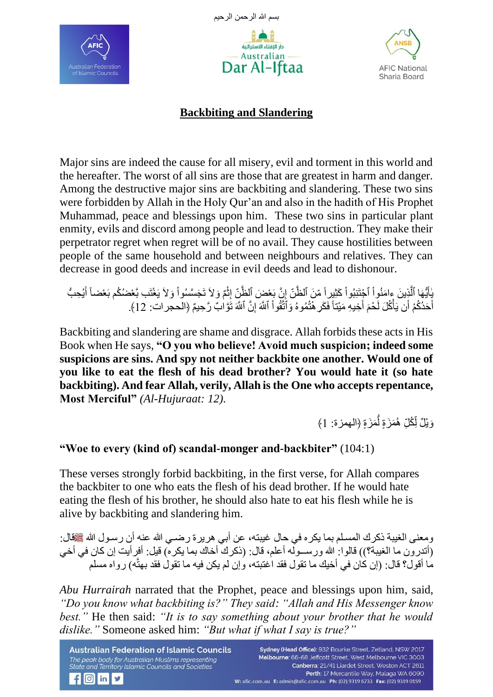





## **Backbiting and Slandering**

Major sins are indeed the cause for all misery, evil and torment in this world and the hereafter. The worst of all sins are those that are greatest in harm and danger. Among the destructive major sins are backbiting and slandering. These two sins were forbidden by Allah in the Holy Qur'an and also in the hadith of His Prophet Muhammad, peace and blessings upon him. These two sins in particular plant enmity, evils and discord among people and lead to destruction. They make their perpetrator regret when regret will be of no avail. They cause hostilities between people of the same household and between neighbours and relatives. They can decrease in good deeds and increase in evil deeds and lead to dishonour.

ْ يٰاَيُّهَا ٱلَّذِينَ ءامَنُواْ ٱجْتَنِبُواْ كَثِيراً مّنَ ٱلظَّنّ إِنَّ بَعْضَ ٱلظَّنّ إِنَّمَ وَلاَ تَجَسَّسُواْ وَلاَ يَغْتَب بَّعْضُكُم بَعْضاً أَيُحِبُّ ْ َّ َ ْ **ٔ** ِ أَحَدُكُمْ أَن يَأْكُلَ لَحْمَ أَخِيهِ مَيْتاً فَكَرِ هُنُمُوهُ وَٱتَّقُواْ ٱللَّهَ إِنَّ ٱللَّهَ تَوَّابٌ رَّحِيمٌ ﴿الحجرات: 12﴾. ِ ْ َ َ ْ َ

Backbiting and slandering are shame and disgrace. Allah forbids these acts in His Book when He says, **"O you who believe! Avoid much suspicion; indeed some suspicions are sins. And spy not neither backbite one another. Would one of you like to eat the flesh of his dead brother? You would hate it (so hate backbiting). And fear Allah, verily, Allah is the One who accepts repentance, Most Merciful"** *(Al-Hujuraat: 12).*

> وَيْلٌ لِّكُلِّ هُمَزَةٍ لِّمَزَةٍ ﴿الـهمزة: 1﴾ ُّ <u>׀</u> أ

## **"Woe to every (kind of) scandal-monger and-backbiter"** (104:1)

These verses strongly forbid backbiting, in the first verse, for Allah compares the backbiter to one who eats the flesh of his dead brother. If he would hate eating the flesh of his brother, he should also hate to eat his flesh while he is alive by backbiting and slandering him.

ومعنى الغيبة ذكرك المسلم بما يكره في حال غيبته، عن أبي هريرة رضـي الله عنه أن رسـول الله عَقِّقال: (أتدرون ما الغيبة؟)) قالوا: الله ورســولّـه أعلم، قال: (ذكرك أخاك بما يكره) قيل: أفرأيت إن كان في أخي مَا أقول؟ قال: (إن كان في أخيك ما تقول فقد اغتبته، وَ إن لم يكن فيه ما تقولُ فقد بهتَّه) ر واه مسلم

*Abu Hurrairah* narrated that the Prophet, peace and blessings upon him, said, *"Do you know what backbiting is?" They said: "Allah and His Messenger know best."* He then said: *"It is to say something about your brother that he would dislike."* Someone asked him: *"But what if what I say is true?"*

**Australian Federation of Islamic Councils** The peak body for Australian Muslims representing State and Territory Islamic Councils and Societies

 $f$   $\circ$  in  $\prime$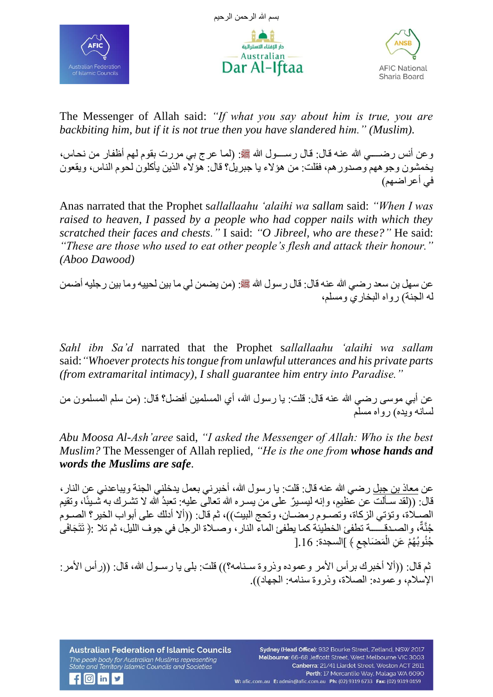





The Messenger of Allah said: *"If what you say about him is true, you are backbiting him, but if it is not true then you have slandered him." (Muslim).*

وعن أنس رضــــي الله عنـه قال: قال رســـول الله ﷺ: (لمـا عرج بـي مررت بقوم لـهم أظفار من نحـاس، يخمشون وجوههم وصدور هم، فقلت: من هؤلاء يا جبريل؟ قال: هؤلاء الذين يأكلون لحوم الناس، ويقعون في أعر اضبهم)

Anas narrated that the Prophet s*allallaahu 'alaihi wa sallam* said: *"When I was raised to heaven, I passed by a people who had copper nails with which they scratched their faces and chests."* I said: *"O Jibreel, who are these?"* He said: *"These are those who used to eat other people's flesh and attack their honour." (Aboo Dawood)* 

عن سهل بن سعد رضمي الله عنه قال: قال رسول الله ﷺ: (من يضمن لي ما بين لحييه وما بين رجليه أضمن له الجنة) رواه البخاري ومسلم،

*Sahl ibn Sa'd* narrated that the Prophet s*allallaahu 'alaihi wa sallam* said:*"Whoever protects his tongue from unlawful utterances and his private parts (from extramarital intimacy), I shall guarantee him entry into Paradise."* 

عن أبي موسى ر ضبي الله عنه قال: قلت: يا ر سو ل الله، أي المسلمين أفضل؟ قال: (من سلم المسلمون من لسانه ويده) ر واه مسلم

*Abu Moosa Al-Ash'aree* said, *"I asked the Messenger of Allah: Who is the best Muslim?* The Messenger of Allah replied, *"He is the one from whose hands and words the Muslims are safe.*

عن [معاذ بن جبل](https://www.alukah.net/sharia/0/46075) ر ضبي الله عنه قال: قلت: يا ر سول الله، أخبر نبي بعمل يدخلني الجنة ويباعدني عن النار ، قال: ((لقد سـألت عن عظيم، وإنه ليسـيرٌ على من يسـر ه الله تعالى عليه: تعبدُ الله لا تشـر ك به شَـيئًا، و تقيم الصـلاَة، وتؤتي الزكاة، وتصـوم رمضـان، وتحج البيت))، ثم قال: ((ألا أدلك على أبواب الخير؟ الصـوم جُنَّةٌ، والصدق ب تطفئ الخطيئة كما يطفئ الماء النار ، وصـلاة الرجل في جوف الليل، ثم تلا :﴿ تَتَجَافَى ِ جُنُوبُهُمْ عَنِ الْمَضَاجِعِ ﴾ ]السجدة: 16.[ ْ

ثم قال: ((ألا أخبرك بر أس الأمر وعموده وذروة سـنامه؟)) قلت: بلي يا رسـول الله، قال: ((رأس الأمر : الإسلام، و عموده: الصلاة، وذروة سنامه: الجهاد)).

**Australian Federation of Islamic Councils** The peak body for Australian Muslims representing State and Territory Islamic Councils and Societies

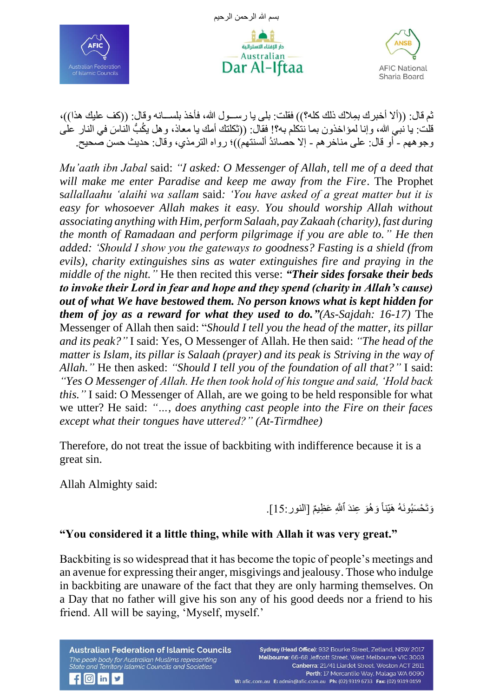







ثم قال: ((ألا أخبرك بِمِلاك ذلك كله؟)) فقلت: بلي يا رســول الله، فأخذ بلســانـه وقال: ((كف عليك هذا))، قلت: يا نبي الله، وإنا لمؤاخذون بما ننكلم به؟! فقال: ((ثكلتك أمك يا معاذ، و هل يكُبُّ الناسَ في النار على و جو ههم - أو قال: علي مناخر هم - إلا حصائدُ ألسنتهم))؛ رواه التر مذي، وقال: حديث حسن صحيح.

*Mu'aath ibn Jabal* said: *"I asked: O Messenger of Allah, tell me of a deed that will make me enter Paradise and keep me away from the Fire*. The Prophet s*allallaahu 'alaihi wa sallam* said*: 'You have asked of a great matter but it is easy for whosoever Allah makes it easy. You should worship Allah without associating anything with Him, perform Salaah, pay Zakaah (charity), fast during the month of Ramadaan and perform pilgrimage if you are able to." He then added: 'Should I show you the gateways to goodness? Fasting is a shield (from evils), charity extinguishes sins as water extinguishes fire and praying in the middle of the night."* He then recited this verse: *"Their sides forsake their beds to invoke their Lord in fear and hope and they spend (charity in Allah's cause) out of what We have bestowed them. No person knows what is kept hidden for them of joy as a reward for what they used to do."(As-Sajdah: 16-17)* The Messenger of Allah then said: "*Should I tell you the head of the matter, its pillar and its peak?"* I said: Yes, O Messenger of Allah. He then said: *"The head of the matter is Islam, its pillar is Salaah (prayer) and its peak is Striving in the way of Allah."* He then asked: *"Should I tell you of the foundation of all that?"* I said: *"Yes O Messenger of Allah. He then took hold of his tongue and said, 'Hold back this."* I said: O Messenger of Allah, are we going to be held responsible for what we utter? He said: *"…, does anything cast people into the Fire on their faces except what their tongues have uttered?" (At-Tirmdhee)*

Therefore, do not treat the issue of backbiting with indifference because it is a great sin.

Allah Almighty said:

 $f$   $\circ$  in  $\prime$ 

وَتَحْسَبُونَهُ هَيِّناً وَهُوَ عِندَ ٱللَّهِ عَظِيمٌ [النور:15].

## **"You considered it a little thing, while with Allah it was very great."**

Backbiting is so widespread that it has become the topic of people's meetings and an avenue for expressing their anger, misgivings and jealousy. Those who indulge in backbiting are unaware of the fact that they are only harming themselves. On a Day that no father will give his son any of his good deeds nor a friend to his friend. All will be saying, 'Myself, myself.'

**Australian Federation of Islamic Councils** The peak body for Australian Muslims representing State and Territory Islamic Councils and Societies

Sydney (Head Office): 932 Bourke Street, Zetland, NSW 2017 Melbourne: 66-68 Jeffcott Street, West Melbourne VIC 3003 Canberra: 21/41 Liardet Street, Weston ACT 2611 Perth: 17 Mercantile Way, Malaga WA 6090 W: afic.com.au E: admin@afic.com.au Ph: (02) 9319 6733 Fax: (02) 9319 0159